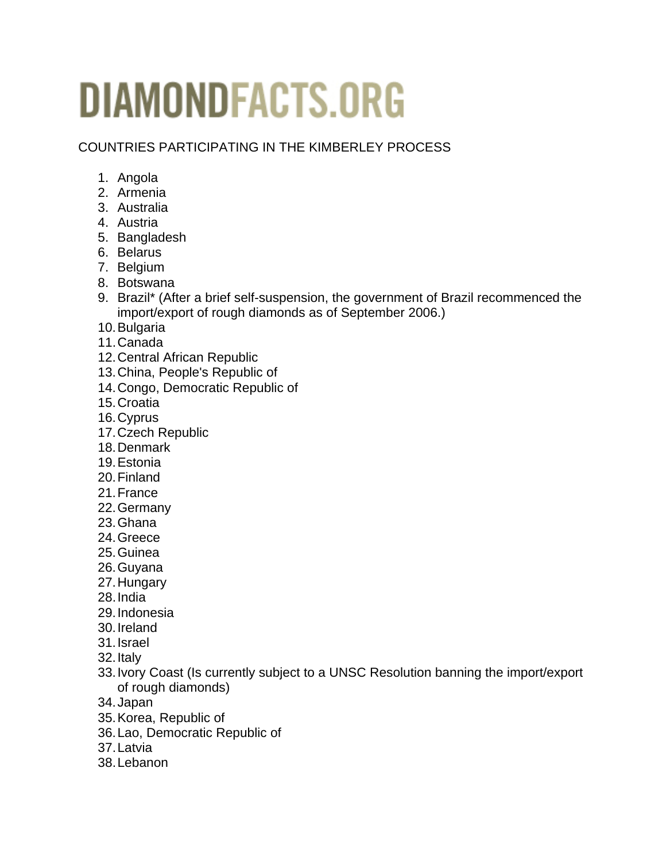## **DIAMONDFACTS.ORG**

COUNTRIES PARTICIPATING IN THE KIMBERLEY PROCESS

- 1. Angola
- 2. Armenia
- 3. Australia
- 4. Austria
- 5. Bangladesh
- 6. Belarus
- 7. Belgium
- 8. Botswana
- 9. Brazil\* (After a brief self-suspension, the government of Brazil recommenced the import/export of rough diamonds as of September 2006.)
- 10. Bulgaria
- 11. Canada
- 12. Central African Republic
- 13. China, People's Republic of
- 14. Congo, Democratic Republic of
- 15. Croatia
- 16. Cyprus
- 17. Czech Republic
- 18. Denmark
- 19. Estonia
- 20. Finland
- 21. France
- 22. Germany
- 23. Ghana
- 24. Greece
- 25. Guinea
- 26. Guyana
- 27. Hungary
- 28. India
- 29. Indonesia
- 30. Ireland
- 31. Israel
- 32. Italy
- 33. Ivory Coast (Is currently subject to a UNSC Resolution banning the import/export of rough diamonds)
- 34. Japan
- 35. Korea, Republic of
- 36. Lao, Democratic Republic of
- 37. Latvia
- 38. Lebanon